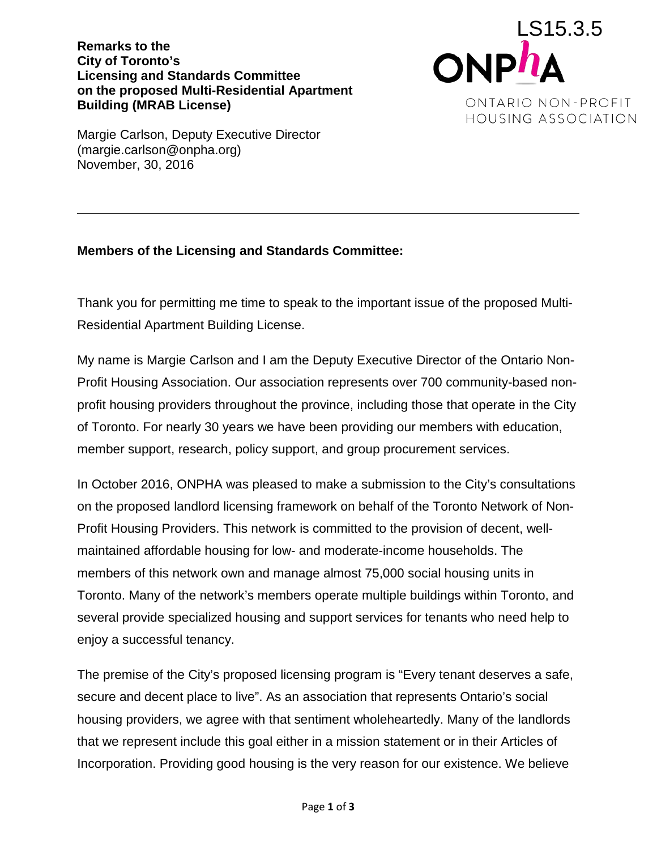**Remarks to the City of Toronto's Licensing and Standards Committee on the proposed Multi-Residential Apartment Building (MRAB License)**



Margie Carlson, Deputy Executive Director (margie.carlson@onpha.org) November, 30, 2016

## **Members of the Licensing and Standards Committee:**

Thank you for permitting me time to speak to the important issue of the proposed Multi-Residential Apartment Building License.

My name is Margie Carlson and I am the Deputy Executive Director of the Ontario Non-Profit Housing Association. Our association represents over 700 community-based nonprofit housing providers throughout the province, including those that operate in the City of Toronto. For nearly 30 years we have been providing our members with education, member support, research, policy support, and group procurement services.

In October 2016, ONPHA was pleased to make a submission to the City's consultations on the proposed landlord licensing framework on behalf of the Toronto Network of Non-Profit Housing Providers. This network is committed to the provision of decent, wellmaintained affordable housing for low- and moderate-income households. The members of this network own and manage almost 75,000 social housing units in Toronto. Many of the network's members operate multiple buildings within Toronto, and several provide specialized housing and support services for tenants who need help to enjoy a successful tenancy.

The premise of the City's proposed licensing program is "Every tenant deserves a safe, secure and decent place to live". As an association that represents Ontario's social housing providers, we agree with that sentiment wholeheartedly. Many of the landlords that we represent include this goal either in a mission statement or in their Articles of Incorporation. Providing good housing is the very reason for our existence. We believe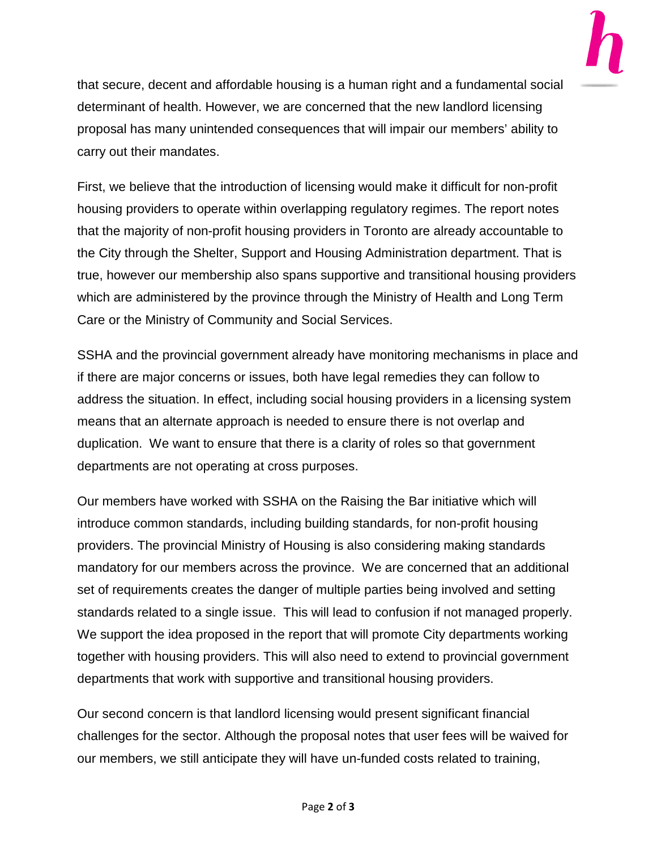

that secure, decent and affordable housing is a human right and a fundamental social determinant of health. However, we are concerned that the new landlord licensing proposal has many unintended consequences that will impair our members' ability to carry out their mandates.

First, we believe that the introduction of licensing would make it difficult for non-profit housing providers to operate within overlapping regulatory regimes. The report notes that the majority of non-profit housing providers in Toronto are already accountable to the City through the Shelter, Support and Housing Administration department. That is true, however our membership also spans supportive and transitional housing providers which are administered by the province through the Ministry of Health and Long Term Care or the Ministry of Community and Social Services.

SSHA and the provincial government already have monitoring mechanisms in place and if there are major concerns or issues, both have legal remedies they can follow to address the situation. In effect, including social housing providers in a licensing system means that an alternate approach is needed to ensure there is not overlap and duplication. We want to ensure that there is a clarity of roles so that government departments are not operating at cross purposes.

Our members have worked with SSHA on the Raising the Bar initiative which will introduce common standards, including building standards, for non-profit housing providers. The provincial Ministry of Housing is also considering making standards mandatory for our members across the province. We are concerned that an additional set of requirements creates the danger of multiple parties being involved and setting standards related to a single issue. This will lead to confusion if not managed properly. We support the idea proposed in the report that will promote City departments working together with housing providers. This will also need to extend to provincial government departments that work with supportive and transitional housing providers.

Our second concern is that landlord licensing would present significant financial challenges for the sector. Although the proposal notes that user fees will be waived for our members, we still anticipate they will have un-funded costs related to training,